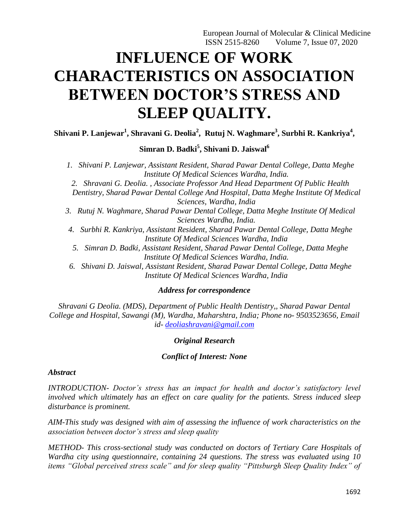European Journal of Molecular & Clinical Medicine ISSN 2515-8260 Volume 7, Issue 07, 2020

# **INFLUENCE OF WORK CHARACTERISTICS ON ASSOCIATION BETWEEN DOCTOR'S STRESS AND SLEEP QUALITY.**

**Shivani P. Lanjewar<sup>1</sup> , Shravani G. Deolia<sup>2</sup> , Rutuj N. Waghmare<sup>3</sup> , Surbhi R. Kankriya<sup>4</sup> ,** 

**Simran D. Badki<sup>5</sup> , Shivani D. Jaiswal<sup>6</sup>**

*1. Shivani P. Lanjewar, Assistant Resident, Sharad Pawar Dental College, Datta Meghe Institute Of Medical Sciences Wardha, India. 2. Shravani G. Deolia. , Associate Professor And Head Department Of Public Health Dentistry, Sharad Pawar Dental College And Hospital, Datta Meghe Institute Of Medical Sciences, Wardha, India 3. Rutuj N. Waghmare, Sharad Pawar Dental College, Datta Meghe Institute Of Medical Sciences Wardha, India. 4. Surbhi R. Kankriya, Assistant Resident, Sharad Pawar Dental College, Datta Meghe Institute Of Medical Sciences Wardha, India 5. Simran D. Badki, Assistant Resident, Sharad Pawar Dental College, Datta Meghe Institute Of Medical Sciences Wardha, India. 6. Shivani D. Jaiswal, Assistant Resident, Sharad Pawar Dental College, Datta Meghe* 

*Institute Of Medical Sciences Wardha, India*

#### *Address for correspondence*

*Shravani G Deolia. (MDS), Department of Public Health Dentistry,, Sharad Pawar Dental College and Hospital, Sawangi (M), Wardha, Maharshtra, India; Phone no- 9503523656, Email id- [deoliashravani@gmail.com](mailto:deoliashravani@gmail.com)*

#### *Original Research*

#### *Conflict of Interest: None*

#### *Abstract*

*INTRODUCTION- Doctor's stress has an impact for health and doctor's satisfactory level involved which ultimately has an effect on care quality for the patients. Stress induced sleep disturbance is prominent.*

*AIM-This study was designed with aim of assessing the influence of work characteristics on the association between doctor's stress and sleep quality*

*METHOD- This cross-sectional study was conducted on doctors of Tertiary Care Hospitals of Wardha city using questionnaire, containing 24 questions. The stress was evaluated using 10 items "Global perceived stress scale" and for sleep quality "Pittsburgh Sleep Quality Index" of*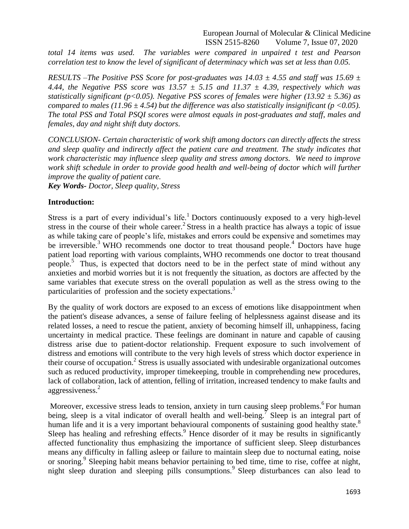European Journal of Molecular & Clinical Medicine ISSN 2515-8260 Volume 7, Issue 07, 2020

*total 14 items was used. The variables were compared in unpaired t test and Pearson correlation test to know the level of significant of determinacy which was set at less than 0.05.*

*RESULTS –The Positive PSS Score for post-graduates was 14.03 ± 4.55 and staff was 15.69 ± 4.44, the Negative PSS score was 13.57 ± 5.15 and 11.37 ± 4.39, respectively which was statistically significant (p<0.05). Negative PSS scores of females were higher (13.92 ± 5.36) as compared to males (11.96*  $\pm$  *4.54) but the difference was also statistically insignificant (p <0.05). The total PSS and Total PSQI scores were almost equals in post-graduates and staff, males and females, day and night shift duty doctors.*

*CONCLUSION- Certain characteristic of work shift among doctors can directly affects the stress and sleep quality and indirectly affect the patient care and treatment. The study indicates that work characteristic may influence sleep quality and stress among doctors. We need to improve work shift schedule in order to provide good health and well-being of doctor which will further improve the quality of patient care.*

*Key Words- Doctor, Sleep quality, Stress*

#### **Introduction:**

Stress is a part of every individual's life.<sup>1</sup> Doctors continuously exposed to a very high-level stress in the course of their whole career.<sup>2</sup> Stress in a health practice has always a topic of issue as while taking care of people"s life, mistakes and errors could be expensive and sometimes may be irreversible.<sup>3</sup> WHO recommends one doctor to treat thousand people.<sup>4</sup> Doctors have huge patient load reporting with various complaints, WHO recommends one doctor to treat thousand people.<sup>5</sup> Thus, is expected that doctors need to be in the perfect state of mind without any anxieties and morbid worries but it is not frequently the situation, as doctors are affected by the same variables that execute stress on the overall population as well as the stress owing to the particularities of profession and the society expectations.<sup>3</sup>

By the quality of work doctors are exposed to an excess of emotions like disappointment when the patient's disease advances, a sense of failure feeling of helplessness against disease and its related losses, a need to rescue the patient, anxiety of becoming himself ill, unhappiness, facing uncertainty in medical practice. These feelings are dominant in nature and capable of causing distress arise due to patient-doctor relationship. Frequent exposure to such involvement of distress and emotions will contribute to the very high levels of stress which doctor experience in their course of occupation.<sup>2</sup> Stress is usually associated with undesirable organizational outcomes such as reduced productivity, improper timekeeping, trouble in comprehending new procedures, lack of collaboration, lack of attention, felling of irritation, increased tendency to make faults and aggressiveness.<sup>2</sup>

Moreover, excessive stress leads to tension, anxiety in turn causing sleep problems.<sup>6</sup>For human being, sleep is a vital indicator of overall health and well-being.<sup>7</sup> Sleep is an integral part of human life and it is a very important behavioural components of sustaining good healthy state.<sup>8</sup> Sleep has healing and refreshing effects.<sup>9</sup> Hence disorder of it may be results in significantly affected functionality thus emphasizing the importance of sufficient sleep. Sleep disturbances means any difficulty in falling asleep or failure to maintain sleep due to nocturnal eating, noise or snoring.<sup>9</sup> Sleeping habit means behavior pertaining to bed time, time to rise, coffee at night, night sleep duration and sleeping pills consumptions.<sup>9</sup> Sleep disturbances can also lead to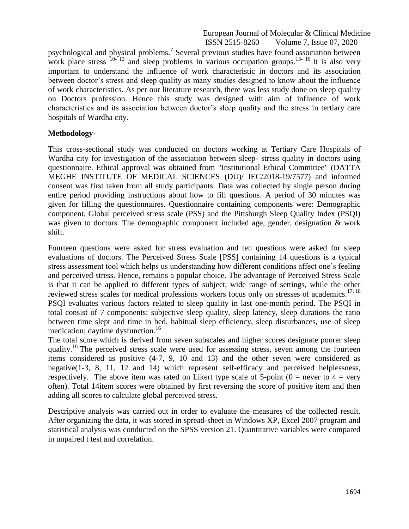European Journal of Molecular & Clinical Medicine ISSN 2515-8260 Volume 7, Issue 07, 2020

psychological and physical problems.<sup>7</sup> Several previous studies have found association between work place stress  $10^{-13}$  and sleep problems in various occupation groups.<sup>13-16</sup> It is also very important to understand the influence of work characteristic in doctors and its association between doctor"s stress and sleep quality as many studies designed to know about the influence of work characteristics. As per our literature research, there was less study done on sleep quality on Doctors profession. Hence this study was designed with aim of influence of work characteristics and its association between doctor"s sleep quality and the stress in tertiary care hospitals of Wardha city.

#### **Methodology-**

This cross-sectional study was conducted on doctors working at Tertiary Care Hospitals of Wardha city for investigation of the association between sleep- stress quality in doctors using questionnaire. Ethical approval was obtained from "Institutional Ethical Committee" (DATTA MEGHE INSTITUTE OF MEDICAL SCIENCES (DU)/ IEC/2018-19/7577) and informed consent was first taken from all study participants. Data was collected by single person during entire period providing instructions about how to fill questions. A period of 30 minutes was given for filling the questionnaires. Questionnaire containing components were: Demographic component, Global perceived stress scale (PSS) and the Pittsburgh Sleep Quality Index (PSQI) was given to doctors. The demographic component included age, gender, designation & work shift.

Fourteen questions were asked for stress evaluation and ten questions were asked for sleep evaluations of doctors. The Perceived Stress Scale [PSS] containing 14 questions is a typical stress assessment tool which helps us understanding how different conditions affect one"s feeling and perceived stress. Hence, remains a popular choice. The advantage of Perceived Stress Scale is that it can be applied to different types of subject, wide range of settings, while the other reviewed stress scales for medical professions workers focus only on stresses of academics.<sup>17, 18</sup> PSQI evaluates various factors related to sleep quality in last one-month period. The PSQI in total consist of 7 components: subjective sleep quality, sleep latency, sleep durations the ratio between time slept and time in bed, habitual sleep efficiency, sleep disturbances, use of sleep medication; daytime dysfunction. 16

The total score which is derived from seven subscales and higher scores designate poorer sleep quality.<sup>16</sup> The perceived stress scale were used for assessing stress, seven among the fourteen items considered as positive (4-7, 9, 10 and 13) and the other seven were considered as negative(1-3, 8, 11, 12 and 14) which represent self-efficacy and perceived helplessness, respectively. The above item was rated on Likert type scale of 5-point ( $0 =$  never to  $4 =$  very often). Total 14item scores were obtained by first reversing the score of positive item and then adding all scores to calculate global perceived stress.

Descriptive analysis was carried out in order to evaluate the measures of the collected result. After organizing the data, it was stored in spread-sheet in Windows XP, Excel 2007 program and statistical analysis was conducted on the SPSS version 21. Quantitative variables were compared in unpaired t test and correlation.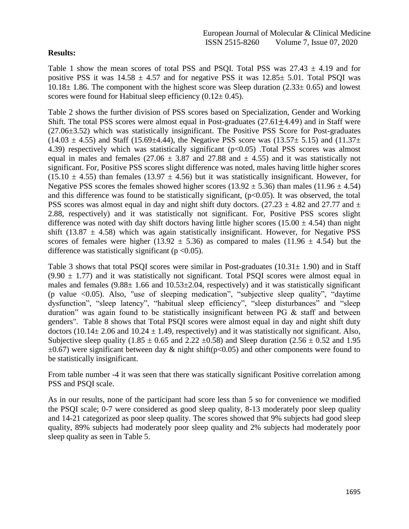#### **Results:**

Table 1 show the mean scores of total PSS and PSQI. Total PSS was  $27.43 \pm 4.19$  and for positive PSS it was  $14.58 \pm 4.57$  and for negative PSS it was  $12.85 \pm 5.01$ . Total PSQI was  $10.18\pm 1.86$ . The component with the highest score was Sleep duration (2.33 $\pm$  0.65) and lowest scores were found for Habitual sleep efficiency  $(0.12 \pm 0.45)$ .

Table 2 shows the further division of PSS scores based on Specialization, Gender and Working Shift. The total PSS scores were almost equal in Post-graduates  $(27.61 \pm 4.49)$  and in Staff were (27.06±3.52) which was statistically insignificant. The Positive PSS Score for Post-graduates  $(14.03 \pm 4.55)$  and Staff (15.69 $\pm$ 4.44), the Negative PSS score was (13.57 $\pm$  5.15) and (11.37 $\pm$ 4.39) respectively which was statistically significant (p<0.05) .Total PSS scores was almost equal in males and females (27.06  $\pm$  3.87 and 27.88 and  $\pm$  4.55) and it was statistically not significant. For, Positive PSS scores slight difference was noted, males having little higher scores  $(15.10 \pm 4.55)$  than females  $(13.97 \pm 4.56)$  but it was statistically insignificant. However, for Negative PSS scores the females showed higher scores (13.92  $\pm$  5.36) than males (11.96  $\pm$  4.54) and this difference was found to be statistically significant,  $(p<0.05)$ . It was observed, the total PSS scores was almost equal in day and night shift duty doctors. (27.23  $\pm$  4.82 and 27.77 and  $\pm$ 2.88, respectively) and it was statistically not significant. For, Positive PSS scores slight difference was noted with day shift doctors having little higher scores (15.00  $\pm$  4.54) than night shift (13.87  $\pm$  4.58) which was again statistically insignificant. However, for Negative PSS scores of females were higher (13.92  $\pm$  5.36) as compared to males (11.96  $\pm$  4.54) but the difference was statistically significant ( $p < 0.05$ ).

Table 3 shows that total PSQI scores were similar in Post-graduates  $(10.31 \pm 1.90)$  and in Staff  $(9.90 \pm 1.77)$  and it was statistically not significant. Total PSQI scores were almost equal in males and females  $(9.88 \pm 1.66$  and  $10.53 \pm 2.04$ , respectively) and it was statistically significant (p value <0.05). Also, "use of sleeping medication", "subjective sleep quality", "daytime dysfunction", "sleep latency", "habitual sleep efficiency", "sleep disturbances" and "sleep duration" was again found to be statistically insignificant between PG & staff and between genders". Table 8 shows that Total PSQI scores were almost equal in day and night shift duty doctors (10.14 $\pm$  2.06 and 10.24  $\pm$  1.49, respectively) and it was statistically not significant. Also, Subjective sleep quality (1.85  $\pm$  0.65 and 2.22  $\pm$ 0.58) and Sleep duration (2.56  $\pm$  0.52 and 1.95  $\pm 0.67$ ) were significant between day & night shift(p<0.05) and other components were found to be statistically insignificant.

From table number -4 it was seen that there was statically significant Positive correlation among PSS and PSQI scale.

As in our results, none of the participant had score less than 5 so for convenience we modified the PSQI scale; 0-7 were considered as good sleep quality, 8-13 moderately poor sleep quality and 14-21 categorized as poor sleep quality. The scores showed that 9% subjects had good sleep quality, 89% subjects had moderately poor sleep quality and 2% subjects had moderately poor sleep quality as seen in Table 5.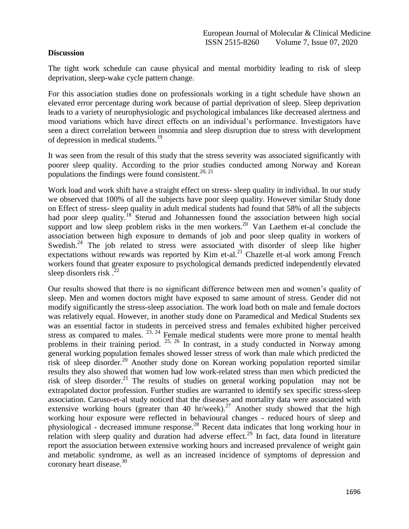#### **Discussion**

The tight work schedule can cause physical and mental morbidity leading to risk of sleep deprivation, sleep-wake cycle pattern change.

For this association studies done on professionals working in a tight schedule have shown an elevated error percentage during work because of partial deprivation of sleep. Sleep deprivation leads to a variety of neurophysiologic and psychological imbalances like decreased alertness and mood variations which have direct effects on an individual"s performance. Investigators have seen a direct correlation between insomnia and sleep disruption due to stress with development of depression in medical students.<sup>19</sup>

It was seen from the result of this study that the stress severity was associated significantly with poorer sleep quality. According to the prior studies conducted among Norway and Korean populations the findings were found consistent.<sup>20, 21</sup>

Work load and work shift have a straight effect on stress- sleep quality in individual. In our study we observed that 100% of all the subjects have poor sleep quality. However similar Study done on Effect of stress- sleep quality in adult medical students had found that 58% of all the subjects had poor sleep quality.<sup>18</sup> Sterud and Johannessen found the association between high social support and low sleep problem risks in the men workers.<sup>20</sup> Van Laethem et-al conclude the association between high exposure to demands of job and poor sleep quality in workers of Swedish.<sup>24</sup> The job related to stress were associated with disorder of sleep like higher expectations without rewards was reported by Kim et-al.<sup>21</sup> Chazelle et-al work among French workers found that greater exposure to psychological demands predicted independently elevated sleep disorders risk  $^{22}$ 

Our results showed that there is no significant difference between men and women"s quality of sleep. Men and women doctors might have exposed to same amount of stress. Gender did not modify significantly the stress-sleep association. The work load both on male and female doctors was relatively equal. However, in another study done on Paramedical and Medical Students sex was an essential factor in students in perceived stress and females exhibited higher perceived stress as compared to males.  $23, 24$  Female medical students were more prone to mental health problems in their training period. 25, 26 In contrast, in a study conducted in Norway among general working population females showed lesser stress of work than male which predicted the risk of sleep disorder.<sup>20</sup> Another study done on Korean working population reported similar results they also showed that women had low work-related stress than men which predicted the risk of sleep disorder.<sup>21</sup> The results of studies on general working population may not be extrapolated doctor profession. Further studies are warranted to identify sex specific stress-sleep association. Caruso-et-al study noticed that the diseases and mortality data were associated with extensive working hours (greater than 40 hr/week).<sup>27</sup> Another study showed that the high working hour exposure were reflected in behavioural changes - reduced hours of sleep and physiological - decreased immune response.<sup>28</sup> Recent data indicates that long working hour in relation with sleep quality and duration had adverse effect.<sup>29</sup> In fact, data found in literature report the association between extensive working hours and increased prevalence of weight gain and metabolic syndrome, as well as an increased incidence of symptoms of depression and coronary heart disease. $30$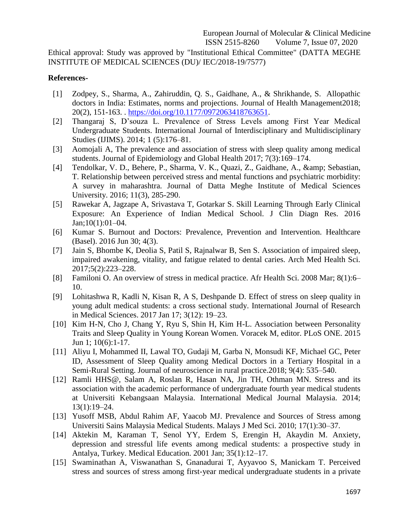Ethical approval: Study was approved by "Institutional Ethical Committee" (DATTA MEGHE INSTITUTE OF MEDICAL SCIENCES (DU)/ IEC/2018-19/7577)

#### **References-**

- [1] Zodpey, S., Sharma, A., Zahiruddin, Q. S., Gaidhane, A., & Shrikhande, S. Allopathic doctors in India: Estimates, norms and projections. Journal of Health Management2018; 20(2), 151-163. . [https://doi.org/10.1177/0972063418763651.](https://doi.org/10.1177/0972063418763651)
- [2] Thangaraj S, D"souza L. Prevalence of Stress Levels among First Year Medical Undergraduate Students. International Journal of Interdisciplinary and Multidisciplinary Studies (IJIMS). 2014; 1 (5):176–81.
- [3] Aomojali A, The prevalence and association of stress with sleep quality among medical students. Journal of Epidemiology and Global Health 2017; 7(3):169–174.
- [4] Tendolkar, V. D., Behere, P., Sharma, V. K., Quazi, Z., Gaidhane, A., & amp; Sebastian, T. Relationship between perceived stress and mental functions and psychiatric morbidity: A survey in maharashtra. Journal of Datta Meghe Institute of Medical Sciences University. 2016; 11(3), 285-290.
- [5] Rawekar A, Jagzape A, Srivastava T, Gotarkar S. Skill Learning Through Early Clinical Exposure: An Experience of Indian Medical School. J Clin Diagn Res. 2016 Jan;10(1):01–04.
- [6] Kumar S. Burnout and Doctors: Prevalence, Prevention and Intervention. Healthcare (Basel). 2016 Jun 30; 4(3).
- [7] Jain S, Bhombe K, Deolia S, Patil S, Rajnalwar B, Sen S. Association of impaired sleep, impaired awakening, vitality, and fatigue related to dental caries. Arch Med Health Sci. 2017;5(2):223–228.
- [8] Familoni O. An overview of stress in medical practice. Afr Health Sci. 2008 Mar; 8(1):6– 10.
- [9] Lohitashwa R, Kadli N, Kisan R, A S, Deshpande D. Effect of stress on sleep quality in young adult medical students: a cross sectional study. International Journal of Research in Medical Sciences. 2017 Jan 17; 3(12): 19–23.
- [10] Kim H-N, Cho J, Chang Y, Ryu S, Shin H, Kim H-L. Association between Personality Traits and Sleep Quality in Young Korean Women. Voracek M, editor. PLoS ONE. 2015 Jun 1; 10(6):1-17.
- [11] Aliyu I, Mohammed II, Lawal TO, Gudaji M, Garba N, Monsudi KF, Michael GC, Peter ID, Assessment of Sleep Quality among Medical Doctors in a Tertiary Hospital in a Semi-Rural Setting. Journal of neuroscience in rural practice.2018; 9(4): 535–540.
- [12] Ramli HHS@, Salam A, Roslan R, Hasan NA, Jin TH, Othman MN. Stress and its association with the academic performance of undergraduate fourth year medical students at Universiti Kebangsaan Malaysia. International Medical Journal Malaysia. 2014; 13(1):19–24.
- [13] Yusoff MSB, Abdul Rahim AF, Yaacob MJ. Prevalence and Sources of Stress among Universiti Sains Malaysia Medical Students. Malays J Med Sci. 2010; 17(1):30–37.
- [14] Aktekin M, Karaman T, Senol YY, Erdem S, Erengin H, Akaydin M. Anxiety, depression and stressful life events among medical students: a prospective study in Antalya, Turkey. Medical Education. 2001 Jan; 35(1):12–17.
- [15] Swaminathan A, Viswanathan S, Gnanadurai T, Ayyavoo S, Manickam T. Perceived stress and sources of stress among first-year medical undergraduate students in a private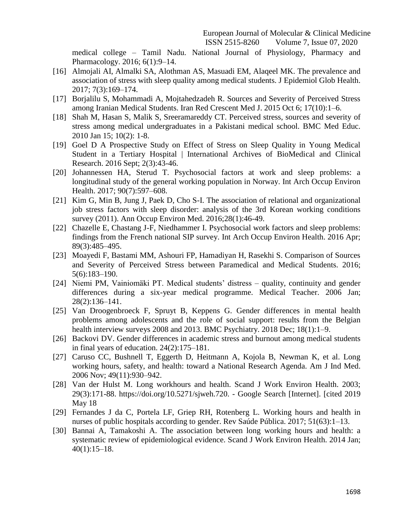medical college – Tamil Nadu. National Journal of Physiology, Pharmacy and Pharmacology. 2016; 6(1):9–14.

- [16] Almojali AI, Almalki SA, Alothman AS, Masuadi EM, Alaqeel MK. The prevalence and association of stress with sleep quality among medical students. J Epidemiol Glob Health. 2017; 7(3):169–174.
- [17] Borjalilu S, Mohammadi A, Mojtahedzadeh R. Sources and Severity of Perceived Stress among Iranian Medical Students. Iran Red Crescent Med J. 2015 Oct 6; 17(10):1–6.
- [18] Shah M, Hasan S, Malik S, Sreeramareddy CT. Perceived stress, sources and severity of stress among medical undergraduates in a Pakistani medical school. BMC Med Educ. 2010 Jan 15; 10(2): 1-8.
- [19] Goel D A Prospective Study on Effect of Stress on Sleep Quality in Young Medical Student in a Tertiary Hospital | International Archives of BioMedical and Clinical Research. 2016 Sept; 2(3):43-46.
- [20] Johannessen HA, Sterud T. Psychosocial factors at work and sleep problems: a longitudinal study of the general working population in Norway. Int Arch Occup Environ Health. 2017; 90(7):597–608.
- [21] Kim G, Min B, Jung J, Paek D, Cho S-I. The association of relational and organizational job stress factors with sleep disorder: analysis of the 3rd Korean working conditions survey (2011). Ann Occup Environ Med. 2016;28(1):46-49.
- [22] Chazelle E, Chastang J-F, Niedhammer I. Psychosocial work factors and sleep problems: findings from the French national SIP survey. Int Arch Occup Environ Health. 2016 Apr; 89(3):485–495.
- [23] Moayedi F, Bastami MM, Ashouri FP, Hamadiyan H, Rasekhi S. Comparison of Sources and Severity of Perceived Stress between Paramedical and Medical Students. 2016; 5(6):183–190.
- [24] Niemi PM, Vainiomäki PT. Medical students" distress quality, continuity and gender differences during a six-year medical programme. Medical Teacher. 2006 Jan; 28(2):136–141.
- [25] Van Droogenbroeck F, Spruyt B, Keppens G. Gender differences in mental health problems among adolescents and the role of social support: results from the Belgian health interview surveys 2008 and 2013. BMC Psychiatry. 2018 Dec; 18(1):1–9.
- [26] Backovi DV. Gender differences in academic stress and burnout among medical students in final years of education. 24(2):175–181.
- [27] Caruso CC, Bushnell T, Eggerth D, Heitmann A, Kojola B, Newman K, et al. Long working hours, safety, and health: toward a National Research Agenda. Am J Ind Med. 2006 Nov; 49(11):930–942.
- [28] Van der Hulst M. Long workhours and health. Scand J Work Environ Health. 2003; 29(3):171-88. https://doi.org/10.5271/sjweh.720. - Google Search [Internet]. [cited 2019 May 18
- [29] Fernandes J da C, Portela LF, Griep RH, Rotenberg L. Working hours and health in nurses of public hospitals according to gender. Rev Saúde Pública. 2017; 51(63):1–13.
- [30] Bannai A, Tamakoshi A. The association between long working hours and health: a systematic review of epidemiological evidence. Scand J Work Environ Health. 2014 Jan; 40(1):15–18.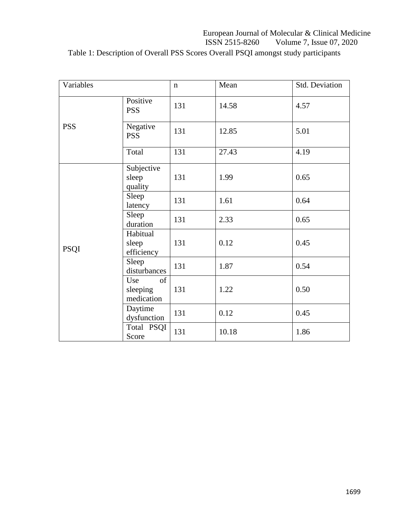## European Journal of Molecular & Clinical Medicine<br>ISSN 2515-8260 Volume 7, Issue 07, 2020 Volume 7, Issue 07, 2020 Table 1: Description of Overall PSS Scores Overall PSQI amongst study participants

| Variables                           |                                 | $\mathbf n$ | Mean  | Std. Deviation |
|-------------------------------------|---------------------------------|-------------|-------|----------------|
|                                     | Positive<br><b>PSS</b>          | 131         | 14.58 | 4.57           |
| <b>PSS</b>                          | Negative<br><b>PSS</b>          | 131         | 12.85 | 5.01           |
|                                     | Total                           | 131         | 27.43 | 4.19           |
|                                     | Subjective<br>sleep<br>quality  | 131         | 1.99  | 0.65           |
|                                     | Sleep<br>latency                | 131         | 1.61  | 0.64           |
|                                     | Sleep<br>duration               | 131         | 2.33  | 0.65           |
| <b>PSQI</b>                         | Habitual<br>sleep<br>efficiency | 131         | 0.12  | 0.45           |
|                                     | Sleep<br>disturbances           | 131         | 1.87  | 0.54           |
| Use<br>of<br>sleeping<br>medication | 131                             | 1.22        | 0.50  |                |
|                                     | Daytime<br>dysfunction          | 131         | 0.12  | 0.45           |
|                                     | Total PSQI<br>Score             | 131         | 10.18 | 1.86           |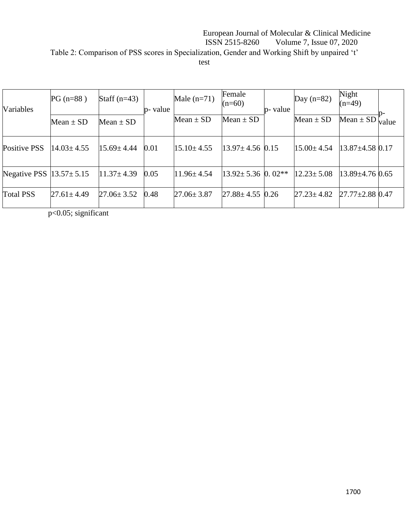### European Journal of Molecular & Clinical Medicine<br>ISSN 2515-8260 Volume 7, Issue 07, 2020 Volume 7, Issue 07, 2020 Table 2: Comparison of PSS scores in Specialization, Gender and Working Shift by unpaired 't' test

| Variables                       | $PG(n=88)$       | Staff $(n=43)$   | p- value | Male $(n=71)$    | Female<br>$(n=60)$      | p- value | Day $(n=82)$     | Night<br>$(n=49)$     |       |
|---------------------------------|------------------|------------------|----------|------------------|-------------------------|----------|------------------|-----------------------|-------|
|                                 | Mean $\pm$ SD    | Mean $\pm$ SD    |          | Mean $\pm$ SD    | Mean $\pm$ SD           |          | Mean $\pm$ SD    | Mean $\pm$ SD         | value |
| <b>Positive PSS</b>             | $14.03 \pm 4.55$ | $15.69 \pm 4.44$ | 0.01     | $15.10 \pm 4.55$ | $13.97 \pm 4.56$ 0.15   |          | $15.00 \pm 4.54$ | $13.87 \pm 4.58$ 0.17 |       |
| Negative PSS $ 13.57 \pm 5.15 $ |                  | $11.37 \pm 4.39$ | 0.05     | $11.96 \pm 4.54$ | $13.92 \pm 5.36$ 0.02** |          | $12.23 \pm 5.08$ | $13.89 \pm 4.76$ 0.65 |       |
| <b>Total PSS</b>                | $27.61 \pm 4.49$ | $27.06 \pm 3.52$ | 0.48     | $27.06 \pm 3.87$ | $27.88 \pm 4.55$        | 0.26     | $27.23 \pm 4.82$ | $27.77 \pm 2.88$ 0.47 |       |

p<0.05; significant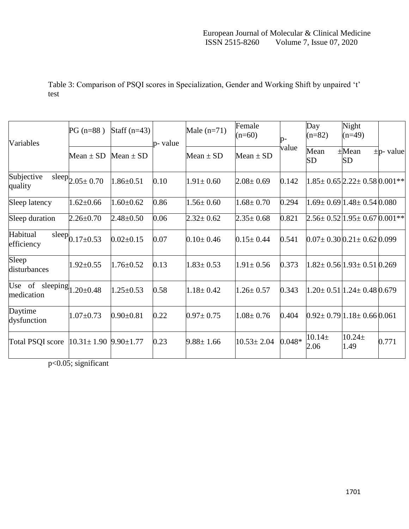|                                               |                               |                 |          |                 | Female           |               | Day                 | Night                                              |                |
|-----------------------------------------------|-------------------------------|-----------------|----------|-----------------|------------------|---------------|---------------------|----------------------------------------------------|----------------|
| Variables                                     | $PG(n=88)$                    | Staff $(n=43)$  | p- value | Male $(n=71)$   | $(n=60)$         | $p-$<br>value | $(n=82)$            | $(n=49)$                                           | $\pm$ p- value |
|                                               | Mean $\pm$ SD                 | Mean $\pm$ SD   |          | Mean $\pm$ SD   | Mean $\pm$ SD    |               | Mean<br>SD          | $\pm$ Mean<br>SD                                   |                |
| Subjective<br>quality                         | $sleep$ <sub>2.05±</sub> 0.70 | $1.86 \pm 0.51$ | 0.10     | $1.91 \pm 0.60$ | $2.08 \pm 0.69$  | 0.142         |                     | $1.85 \pm 0.65$ $2.22 \pm 0.58$ $0.001**$          |                |
| Sleep latency                                 | $1.62 \pm 0.66$               | $1.60 \pm 0.62$ | 0.86     | $1.56 \pm 0.60$ | $1.68 \pm 0.70$  | 0.294         |                     | $1.69 \pm 0.69$ $1.48 \pm 0.54$ $0.080$            |                |
| Sleep duration                                | $2.26 \pm 0.70$               | $2.48 \pm 0.50$ | 0.06     | $2.32 \pm 0.62$ | $2.35 \pm 0.68$  | 0.821         |                     | $2.56 \pm 0.52$   $1.95 \pm 0.67$   $0.001$ **     |                |
| Habitual<br>efficiency                        | sleep $_{0.17\pm0.53}$        | $0.02 \pm 0.15$ | 0.07     | $0.10 \pm 0.46$ | $0.15 \pm 0.44$  | 0.541         |                     | $0.07 \pm 0.30 \times 21 \pm 0.62 \times 0.099$    |                |
| Sleep<br>disturbances                         | $1.92 \pm 0.55$               | $1.76 \pm 0.52$ | 0.13     | $1.83 \pm 0.53$ | $1.91 \pm 0.56$  | 0.373         |                     | $1.82 \pm 0.56 \times 1.93 \pm 0.51 \times 269$    |                |
| Use of sleeping $1.20 \pm 0.48$<br>medication |                               | $1.25 \pm 0.53$ | 0.58     | $1.18 \pm 0.42$ | $1.26 \pm 0.57$  | 0.343         |                     | $1.20 \pm 0.51 \,   1.24 \pm 0.48 \,   0.679 \,  $ |                |
| Daytime<br>dysfunction                        | $1.07 \pm 0.73$               | $0.90 \pm 0.81$ | 0.22     | $0.97 \pm 0.75$ | $1.08 \pm 0.76$  | 0.404         |                     | $0.92 \pm 0.79 \mid 1.18 \pm 0.66 \mid 0.061$      |                |
| Total PSQI score                              | $10.31 \pm 1.90$              | $9.90 \pm 1.77$ | 0.23     | $9.88 \pm 1.66$ | $10.53 \pm 2.04$ | $0.048*$      | $10.14 \pm$<br>2.06 | $10.24 \pm$<br>1.49                                | 0.771          |

Table 3: Comparison of PSQI scores in Specialization, Gender and Working Shift by unpaired 't' test

p<0.05; significant